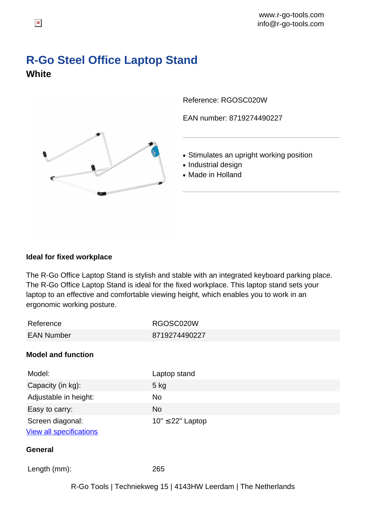## **R-Go Steel Office Laptop Stand White**



Reference: RGOSC020W

EAN number: 8719274490227

- Stimulates an upright working position
- Industrial design
- Made in Holland

## **Ideal for fixed workplace**

The R-Go Office Laptop Stand is stylish and stable with an integrated keyboard parking place. The R-Go Office Laptop Stand is ideal for the fixed workplace. This laptop stand sets your laptop to an effective and comfortable viewing height, which enables you to work in an ergonomic working posture.

| Reference                      | RGOSC020W             |
|--------------------------------|-----------------------|
| <b>EAN Number</b>              | 8719274490227         |
| <b>Model and function</b>      |                       |
| Model:                         | Laptop stand          |
| Capacity (in kg):              | $5$ kg                |
| Adjustable in height:          | <b>No</b>             |
| Easy to carry:                 | <b>No</b>             |
| Screen diagonal:               | $10" \leq 22"$ Laptop |
| <b>View all specifications</b> |                       |
| <b>General</b>                 |                       |
| Length (mm):                   | 265                   |
|                                |                       |

R-Go Tools | Techniekweg 15 | 4143HW Leerdam | The Netherlands